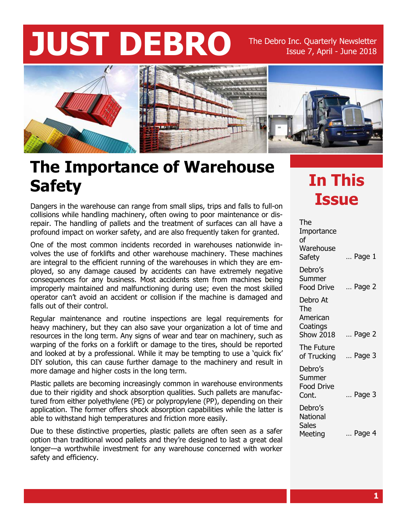# **JUST DEBRO** The Debro Inc. Quarterly Newsletter

### Issue 7, April - June 2018



#### **The Importance of Warehouse Safety**

Dangers in the warehouse can range from small slips, trips and falls to full-on **ISSUE** collisions while handling machinery, often owing to poor maintenance or disrepair. The handling of pallets and the treatment of surfaces can all have a profound impact on worker safety, and are also frequently taken for granted.

One of the most common incidents recorded in warehouses nationwide involves the use of forklifts and other warehouse machinery. These machines are integral to the efficient running of the warehouses in which they are employed, so any damage caused by accidents can have extremely negative consequences for any business. Most accidents stem from machines being improperly maintained and malfunctioning during use; even the most skilled operator can't avoid an accident or collision if the machine is damaged and falls out of their control.

Regular maintenance and routine inspections are legal requirements for heavy machinery, but they can also save your organization a lot of time and resources in the long term. Any signs of wear and tear on machinery, such as warping of the forks on a forklift or damage to the tires, should be reported and looked at by a professional. While it may be tempting to use a 'quick fix' DIY solution, this can cause further damage to the machinery and result in more damage and higher costs in the long term.

Plastic pallets are becoming increasingly common in warehouse environments due to their rigidity and shock absorption qualities. Such pallets are manufactured from either polyethylene (PE) or polypropylene (PP), depending on their application. The former offers shock absorption capabilities while the latter is able to withstand high temperatures and friction more easily.

Due to these distinctive properties, plastic pallets are often seen as a safer option than traditional wood pallets and they're designed to last a great deal longer—a worthwhile investment for any warehouse concerned with worker safety and efficiency.

# **In This**

| The<br>Importance<br>οf                                     |                 |
|-------------------------------------------------------------|-----------------|
| Warehouse<br>Safety                                         | $\ldots$ Page 1 |
| Debro's<br>Summer<br>Food Drive                             | Page 2          |
| Debro At<br>The<br>American<br>Coatings<br><b>Show 2018</b> | Page 2          |
| The Future<br>of Trucking                                   | Page 3          |
| Debro's<br>Summer<br>Food Drive<br>Cont.                    | Page 3          |
| Debro's<br>National<br><b>Sales</b><br>Meeting              | Page 4          |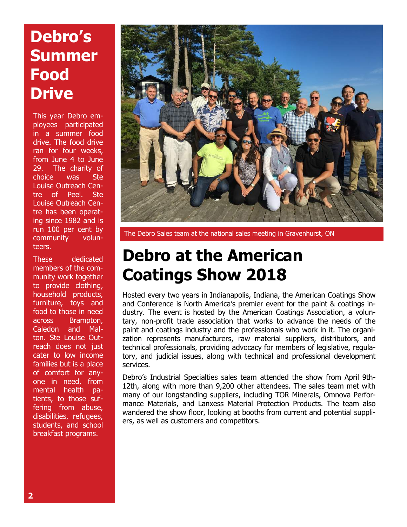## **Debro's Summer Food Drive**

This year Debro employees participated in a summer food drive. The food drive ran for four weeks, from June 4 to June 29. The charity of choice was Ste Louise Outreach Centre of Peel. Ste Louise Outreach Centre has been operating since 1982 and is run 100 per cent by community volunteers.

These dedicated members of the community work together to provide clothing, household products, furniture, toys and food to those in need across Brampton, Caledon and Malton. Ste Louise Outreach does not just cater to low income families but is a place of comfort for anyone in need, from mental health patients, to those suffering from abuse, disabilities, refugees, students, and school breakfast programs.



The Debro Sales team at the national sales meeting in Gravenhurst, ON

#### **Debro at the American Coatings Show 2018**

Hosted every two years in Indianapolis, Indiana, the American Coatings Show and Conference is North America's premier event for the paint & coatings industry. The event is hosted by the American Coatings Association, a voluntary, non-profit trade association that works to advance the needs of the paint and coatings industry and the professionals who work in it. The organization represents manufacturers, raw material suppliers, distributors, and technical professionals, providing advocacy for members of legislative, regulatory, and judicial issues, along with technical and professional development services.

Debro's Industrial Specialties sales team attended the show from April 9th-12th, along with more than 9,200 other attendees. The sales team met with many of our longstanding suppliers, including TOR Minerals, Omnova Performance Materials, and Lanxess Material Protection Products. The team also wandered the show floor, looking at booths from current and potential suppliers, as well as customers and competitors.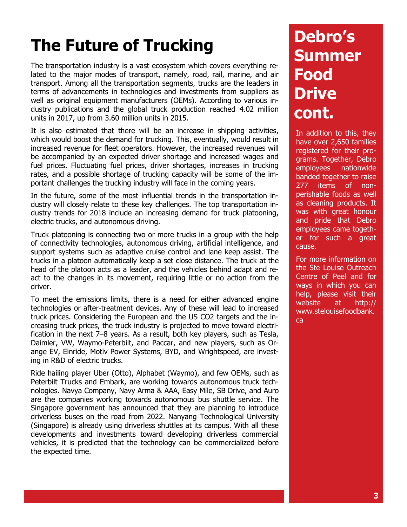# **The Future of Trucking**

The transportation industry is a vast ecosystem which covers everything related to the major modes of transport, namely, road, rail, marine, and air transport. Among all the transportation segments, trucks are the leaders in terms of advancements in technologies and investments from suppliers as well as original equipment manufacturers (OEMs). According to various industry publications and the global truck production reached 4.02 million units in 2017, up from 3.60 million units in 2015.

It is also estimated that there will be an increase in shipping activities, which would boost the demand for trucking. This, eventually, would result in increased revenue for fleet operators. However, the increased revenues will be accompanied by an expected driver shortage and increased wages and fuel prices. Fluctuating fuel prices, driver shortages, increases in trucking rates, and a possible shortage of trucking capacity will be some of the important challenges the trucking industry will face in the coming years.

In the future, some of the most influential trends in the transportation industry will closely relate to these key challenges. The top transportation industry trends for 2018 include an increasing demand for truck platooning, electric trucks, and autonomous driving.

Truck platooning is connecting two or more trucks in a group with the help of connectivity technologies, autonomous driving, artificial intelligence, and support systems such as adaptive cruise control and lane keep assist. The trucks in a platoon automatically keep a set close distance. The truck at the head of the platoon acts as a leader, and the vehicles behind adapt and react to the changes in its movement, requiring little or no action from the driver.

To meet the emissions limits, there is a need for either advanced engine technologies or after-treatment devices. Any of these will lead to increased truck prices. Considering the European and the US CO2 targets and the increasing truck prices, the truck industry is projected to move toward electrification in the next 7–8 years. As a result, both key players, such as Tesla, Daimler, VW, Waymo-Peterbilt, and Paccar, and new players, such as Orange EV, Einride, Motiv Power Systems, BYD, and Wrightspeed, are investing in R&D of electric trucks.

Ride hailing player Uber (Otto), Alphabet (Waymo), and few OEMs, such as Peterbilt Trucks and Embark, are working towards autonomous truck technologies. Navya Company, Navy Arma & AAA, Easy Mile, SB Drive, and Auro are the companies working towards autonomous bus shuttle service. The Singapore government has announced that they are planning to introduce driverless buses on the road from 2022. Nanyang Technological University (Singapore) is already using driverless shuttles at its campus. With all these developments and investments toward developing driverless commercial vehicles, it is predicted that the technology can be commercialized before the expected time.

### **Debro's Summer Food Drive cont.**

In addition to this, they have over 2,650 families registered for their programs. Together, Debro employees nationwide banded together to raise 277 items of nonperishable foods as well as cleaning products. It was with great honour and pride that Debro employees came together for such a great cause.

For more information on the Ste Louise Outreach Centre of Peel and for ways in which you can help, please visit their website at http:// www.stelouisefoodbank. ca